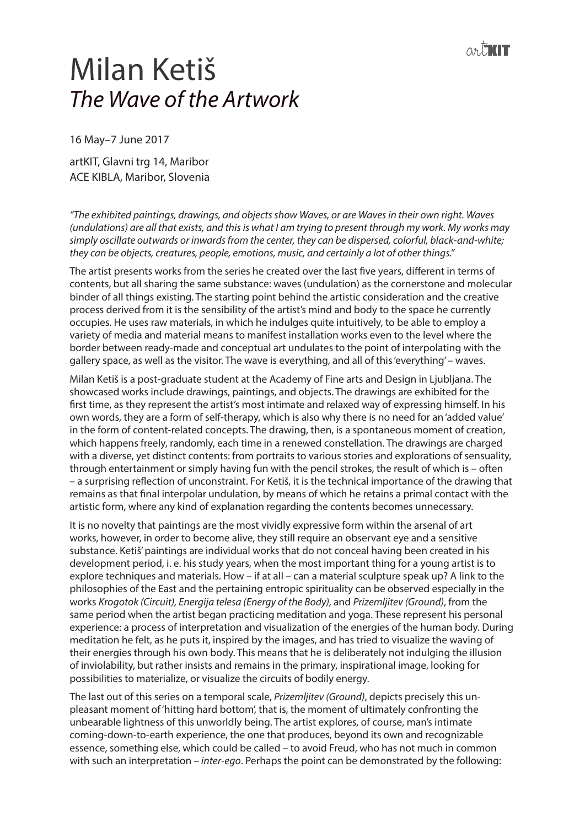## Milan Ketiš *The Wave of the Artwork*

16 May–7 June 2017

artKIT, Glavni trg 14, Maribor ACE KIBLA, Maribor, Slovenia

*"The exhibited paintings, drawings, and objects show Waves, or are Waves in their own right. Waves (undulations) are all that exists, and this is what I am trying to present through my work. My works may simply oscillate outwards or inwards from the center, they can be dispersed, colorful, black-and-white; they can be objects, creatures, people, emotions, music, and certainly a lot of other things."*

The artist presents works from the series he created over the last five years, different in terms of contents, but all sharing the same substance: waves (undulation) as the cornerstone and molecular binder of all things existing. The starting point behind the artistic consideration and the creative process derived from it is the sensibility of the artist's mind and body to the space he currently occupies. He uses raw materials, in which he indulges quite intuitively, to be able to employ a variety of media and material means to manifest installation works even to the level where the border between ready-made and conceptual art undulates to the point of interpolating with the gallery space, as well as the visitor. The wave is everything, and all of this 'everything' – waves.

Milan Ketiš is a post-graduate student at the Academy of Fine arts and Design in Ljubljana. The showcased works include drawings, paintings, and objects. The drawings are exhibited for the first time, as they represent the artist's most intimate and relaxed way of expressing himself. In his own words, they are a form of self-therapy, which is also why there is no need for an 'added value' in the form of content-related concepts. The drawing, then, is a spontaneous moment of creation, which happens freely, randomly, each time in a renewed constellation. The drawings are charged with a diverse, yet distinct contents: from portraits to various stories and explorations of sensuality, through entertainment or simply having fun with the pencil strokes, the result of which is – often – a surprising reflection of unconstraint. For Ketiš, it is the technical importance of the drawing that remains as that final interpolar undulation, by means of which he retains a primal contact with the artistic form, where any kind of explanation regarding the contents becomes unnecessary.

It is no novelty that paintings are the most vividly expressive form within the arsenal of art works, however, in order to become alive, they still require an observant eye and a sensitive substance. Ketiš' paintings are individual works that do not conceal having been created in his development period, i. e. his study years, when the most important thing for a young artist is to explore techniques and materials. How – if at all – can a material sculpture speak up? A link to the philosophies of the East and the pertaining entropic spirituality can be observed especially in the works *Krogotok (Circuit), Energija telesa (Energy of the Body),* and *Prizemljitev (Ground)*, from the same period when the artist began practicing meditation and yoga. These represent his personal experience: a process of interpretation and visualization of the energies of the human body. During meditation he felt, as he puts it, inspired by the images, and has tried to visualize the waving of their energies through his own body. This means that he is deliberately not indulging the illusion of inviolability, but rather insists and remains in the primary, inspirational image, looking for possibilities to materialize, or visualize the circuits of bodily energy.

The last out of this series on a temporal scale, *Prizemljitev (Ground)*, depicts precisely this unpleasant moment of 'hitting hard bottom', that is, the moment of ultimately confronting the unbearable lightness of this unworldly being. The artist explores, of course, man's intimate coming-down-to-earth experience, the one that produces, beyond its own and recognizable essence, something else, which could be called – to avoid Freud, who has not much in common with such an interpretation – *inter-ego*. Perhaps the point can be demonstrated by the following: